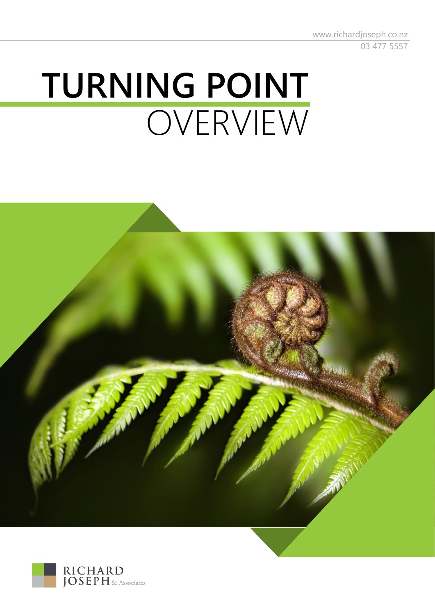www.richardjoseph.co.nz 03 477 5557

# **TURNING POINT** OVERVIEW



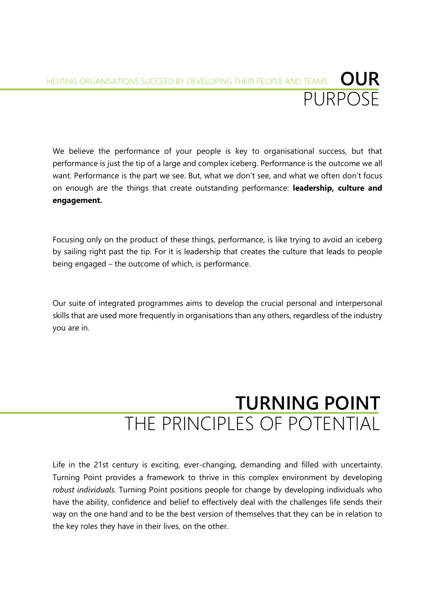# **OUR** PURPOSE HELPING ORGANISATIONS SUCCEED BY DEVELOPING THEIR PEOPLE AND TEAMS

We believe the performance of your people is key to organisational success, but that performance is just the tip of a large and complex iceberg. Performance is the outcome we all want. Performance is the part we see. But, what we don't see, and what we often don't focus on enough are the things that create outstanding performance: **leadership, culture and engagement.**

Focusing only on the product of these things, performance, is like trying to avoid an iceberg by sailing right past the tip. For it is leadership that creates the culture that leads to people being engaged – the outcome of which, is performance.

Our suite of integrated programmes aims to develop the crucial personal and interpersonal skills that are used more frequently in organisations than any others, regardless of the industry you are in.

# **TURNING POINT** THE PRINCIPLES OF POTENTIAL

Life in the 21st century is exciting, ever-changing, demanding and filled with uncertainty. Turning Point provides a framework to thrive in this complex environment by developing *robust individuals.* Turning Point positions people for change by developing individuals who have the ability, confidence and belief to effectively deal with the challenges life sends their way on the one hand and to be the best version of themselves that they can be in relation to the key roles they have in their lives, on the other.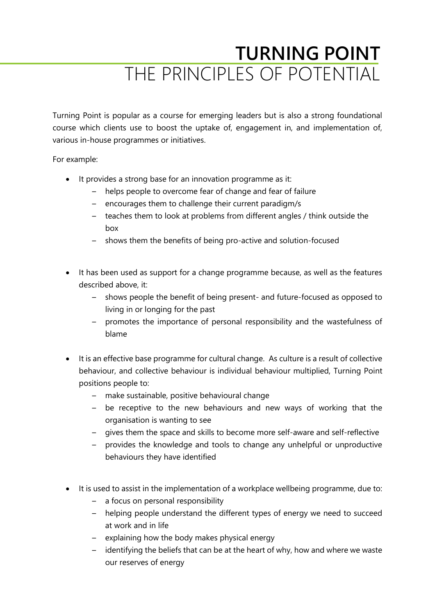# **TURNING POINT** THE PRINCIPLES OF POTENTIAL

Turning Point is popular as a course for emerging leaders but is also a strong foundational course which clients use to boost the uptake of, engagement in, and implementation of, various in-house programmes or initiatives.

For example:

- It provides a strong base for an innovation programme as it:
	- helps people to overcome fear of change and fear of failure
	- encourages them to challenge their current paradigm/s
	- teaches them to look at problems from different angles / think outside the box
	- shows them the benefits of being pro-active and solution-focused
- It has been used as support for a change programme because, as well as the features described above, it:
	- shows people the benefit of being present- and future-focused as opposed to living in or longing for the past
	- promotes the importance of personal responsibility and the wastefulness of blame
- It is an effective base programme for cultural change. As culture is a result of collective behaviour, and collective behaviour is individual behaviour multiplied, Turning Point positions people to:
	- make sustainable, positive behavioural change
	- be receptive to the new behaviours and new ways of working that the organisation is wanting to see
	- gives them the space and skills to become more self-aware and self-reflective
	- provides the knowledge and tools to change any unhelpful or unproductive behaviours they have identified
- It is used to assist in the implementation of a workplace wellbeing programme, due to:
	- a focus on personal responsibility
	- helping people understand the different types of energy we need to succeed at work and in life
	- explaining how the body makes physical energy
	- identifying the beliefs that can be at the heart of why, how and where we waste our reserves of energy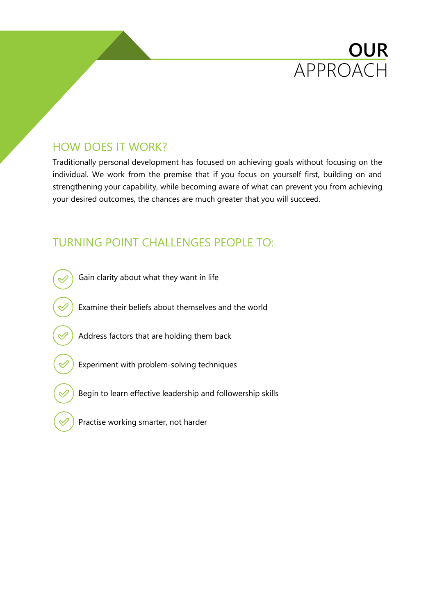# HOW DOES IT WORK?

Traditionally personal development has focused on achieving goals without focusing on the individual. We work from the premise that if you focus on yourself first, building on and strengthening your capability, while becoming aware of what can prevent you from achieving your desired outcomes, the chances are much greater that you will succeed.

**OUR**

APPROACH

### TURNING POINT CHALLENGES PEOPLE TO:



Practise working smarter, not harder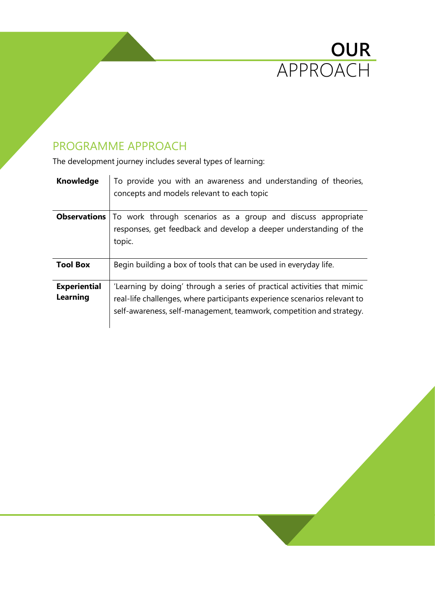

# PROGRAMME APPROACH

The development journey includes several types of learning:

| <b>Knowledge</b>    | To provide you with an awareness and understanding of theories,<br>concepts and models relevant to each topic |
|---------------------|---------------------------------------------------------------------------------------------------------------|
|                     | <b>Observations</b>   To work through scenarios as a group and discuss appropriate                            |
|                     | responses, get feedback and develop a deeper understanding of the                                             |
|                     | topic.                                                                                                        |
|                     |                                                                                                               |
| <b>Tool Box</b>     | Begin building a box of tools that can be used in everyday life.                                              |
| <b>Experiential</b> | 'Learning by doing' through a series of practical activities that mimic                                       |
| <b>Learning</b>     | real-life challenges, where participants experience scenarios relevant to                                     |
|                     | self-awareness, self-management, teamwork, competition and strategy.                                          |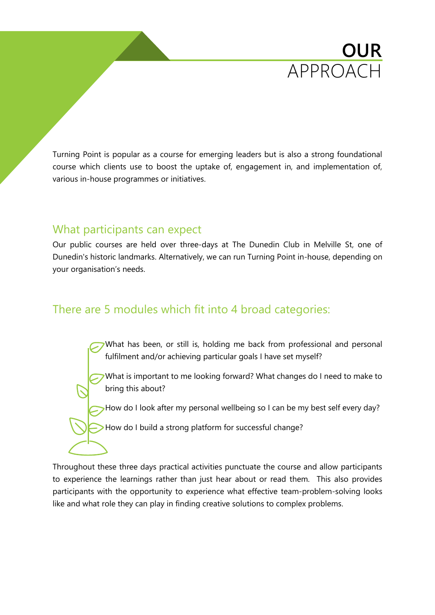

Turning Point is popular as a course for emerging leaders but is also a strong foundational course which clients use to boost the uptake of, engagement in, and implementation of, various in-house programmes or initiatives.

### What participants can expect

Our public courses are held over three-days at The Dunedin Club in Melville St, one of Dunedin's historic landmarks. Alternatively, we can run Turning Point in-house, depending on your organisation's needs.

### There are 5 modules which fit into 4 broad categories:

What has been, or still is, holding me back from professional and personal fulfilment and/or achieving particular goals I have set myself?

What is important to me looking forward? What changes do I need to make to bring this about?

How do I look after my personal wellbeing so I can be my best self every day?

> How do I build a strong platform for successful change?

Throughout these three days practical activities punctuate the course and allow participants to experience the learnings rather than just hear about or read them. This also provides participants with the opportunity to experience what effective team-problem-solving looks like and what role they can play in finding creative solutions to complex problems.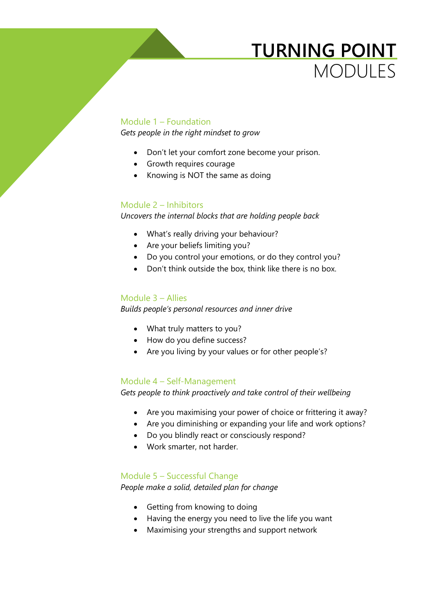# **TURNING POINT** MODULES

#### Module 1 – Foundation

*Gets people in the right mindset to grow*

- Don't let your comfort zone become your prison.
- Growth requires courage
- Knowing is NOT the same as doing

#### Module 2 – Inhibitors

*Uncovers the internal blocks that are holding people back*

- What's really driving your behaviour?
- Are your beliefs limiting you?
- Do you control your emotions, or do they control you?
- Don't think outside the box, think like there is no box.

#### Module 3 – Allies

*Builds people's personal resources and inner drive*

- What truly matters to you?
- How do you define success?
- Are you living by your values or for other people's?

#### Module 4 – Self-Management

*Gets people to think proactively and take control of their wellbeing*

- Are you maximising your power of choice or frittering it away?
- Are you diminishing or expanding your life and work options?
- Do you blindly react or consciously respond?
- Work smarter, not harder.

#### Module 5 – Successful Change

*People make a solid, detailed plan for change*

- Getting from knowing to doing
- Having the energy you need to live the life you want
- Maximising your strengths and support network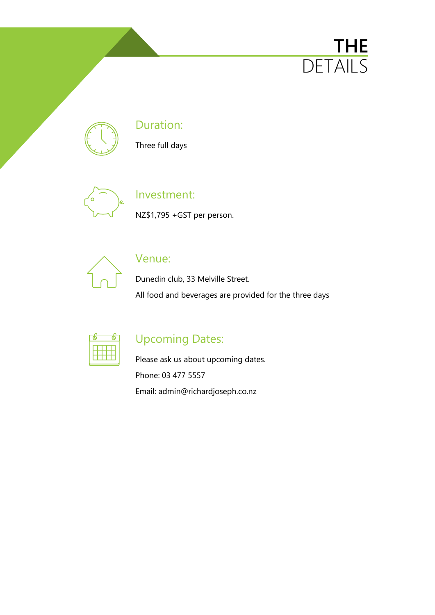# **THE** DETAILS



### Duration:

Three full days



# Investment:

NZ\$1,795 +GST per person.



### Venue:

Dunedin club, 33 Melville Street. All food and beverages are provided for the three days



# Upcoming Dates:

Please ask us about upcoming dates. Phone: 03 477 5557 Email: admin@richardjoseph.co.nz